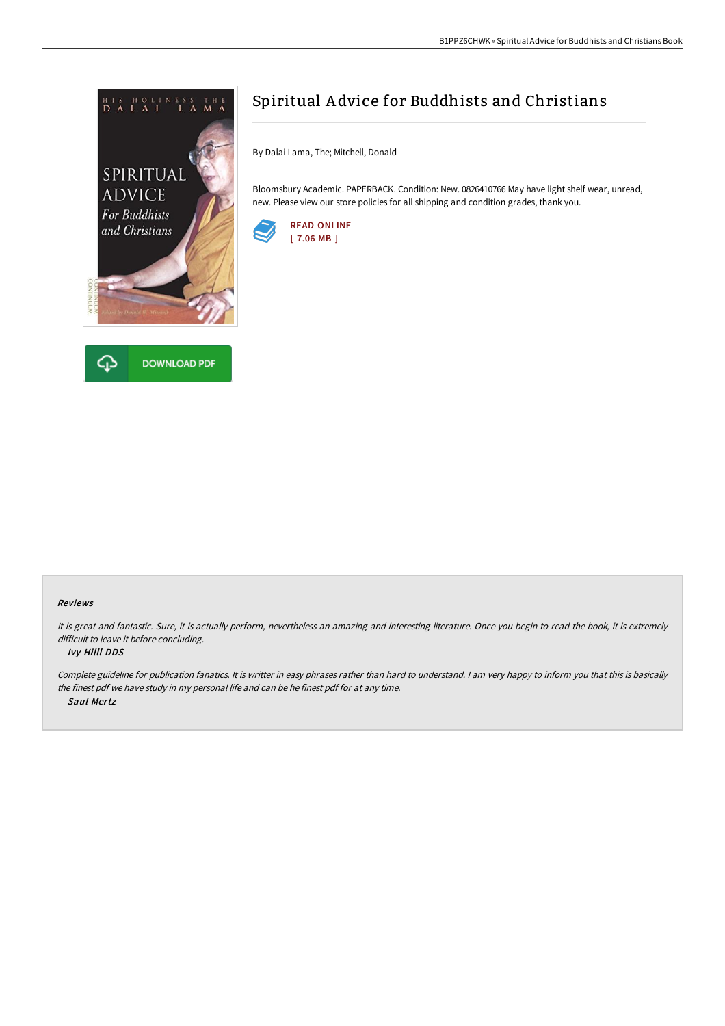



# Spiritual A dvice for Buddhists and Christians

By Dalai Lama, The; Mitchell, Donald

Bloomsbury Academic. PAPERBACK. Condition: New. 0826410766 May have light shelf wear, unread, new. Please view our store policies for all shipping and condition grades, thank you.



### Reviews

It is great and fantastic. Sure, it is actually perform, nevertheless an amazing and interesting literature. Once you begin to read the book, it is extremely difficult to leave it before concluding.

### -- Ivy Hilll DDS

Complete guideline for publication fanatics. It is writter in easy phrases rather than hard to understand. <sup>I</sup> am very happy to inform you that this is basically the finest pdf we have study in my personal life and can be he finest pdf for at any time. -- Saul Mertz